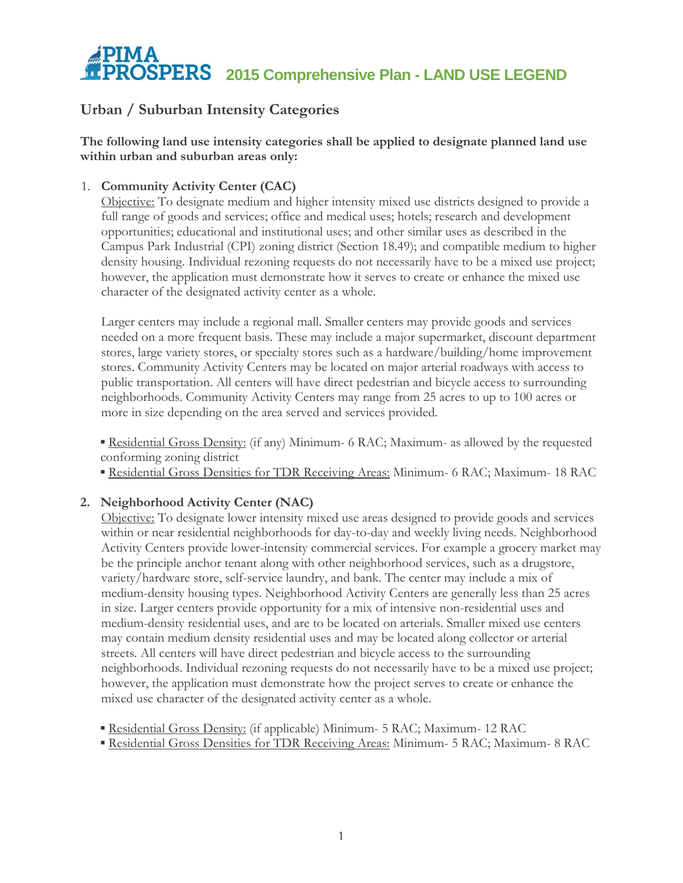## **PIMA 2015 Comprehensive Plan - LAND USE LEGEND**

## **Urban / Suburban Intensity Categories**

**The following land use intensity categories shall be applied to designate planned land use within urban and suburban areas only:**

## 1. **Community Activity Center (CAC)**

Objective: To designate medium and higher intensity mixed use districts designed to provide a full range of goods and services; office and medical uses; hotels; research and development opportunities; educational and institutional uses; and other similar uses as described in the Campus Park Industrial (CPI) zoning district (Section 18.49); and compatible medium to higher density housing. Individual rezoning requests do not necessarily have to be a mixed use project; however, the application must demonstrate how it serves to create or enhance the mixed use character of the designated activity center as a whole.

Larger centers may include a regional mall. Smaller centers may provide goods and services needed on a more frequent basis. These may include a major supermarket, discount department stores, large variety stores, or specialty stores such as a hardware/building/home improvement stores. Community Activity Centers may be located on major arterial roadways with access to public transportation. All centers will have direct pedestrian and bicycle access to surrounding neighborhoods. Community Activity Centers may range from 25 acres to up to 100 acres or more in size depending on the area served and services provided.

**Example 1** Residential Gross Density: (if any) Minimum- 6 RAC; Maximum- as allowed by the requested conforming zoning district

▪ Residential Gross Densities for TDR Receiving Areas: Minimum- 6 RAC; Maximum- 18 RAC

## **2. Neighborhood Activity Center (NAC)**

Objective: To designate lower intensity mixed use areas designed to provide goods and services within or near residential neighborhoods for day-to-day and weekly living needs. Neighborhood Activity Centers provide lower-intensity commercial services. For example a grocery market may be the principle anchor tenant along with other neighborhood services, such as a drugstore, variety/hardware store, self-service laundry, and bank. The center may include a mix of medium-density housing types. Neighborhood Activity Centers are generally less than 25 acres in size. Larger centers provide opportunity for a mix of intensive non-residential uses and medium-density residential uses, and are to be located on arterials. Smaller mixed use centers may contain medium density residential uses and may be located along collector or arterial streets. All centers will have direct pedestrian and bicycle access to the surrounding neighborhoods. Individual rezoning requests do not necessarily have to be a mixed use project; however, the application must demonstrate how the project serves to create or enhance the mixed use character of the designated activity center as a whole.

**Example 12 Residential Gross Density:** (if applicable) Minimum- 5 RAC; Maximum- 12 RAC

▪ Residential Gross Densities for TDR Receiving Areas: Minimum- 5 RAC; Maximum- 8 RAC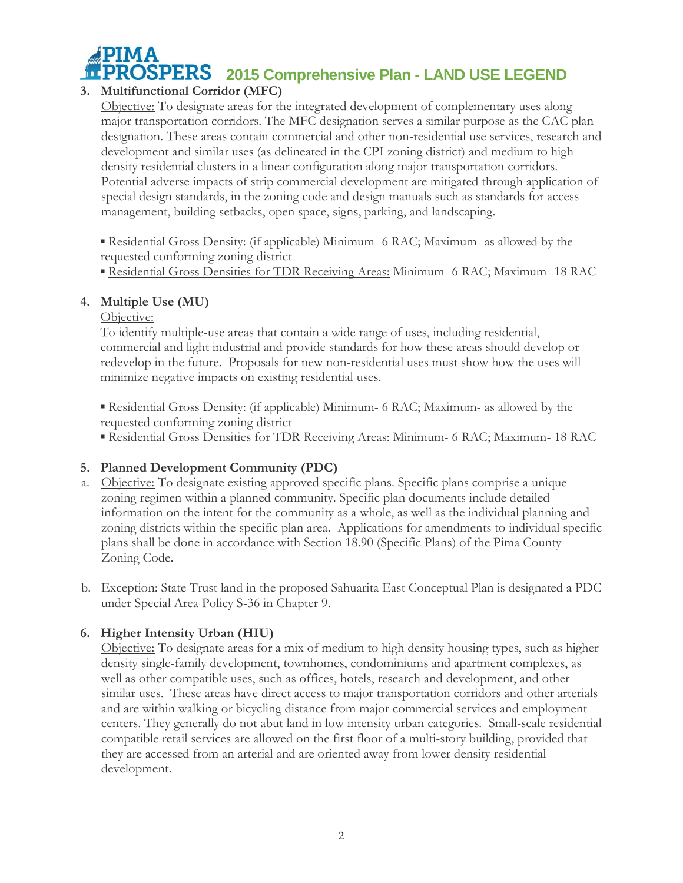

## **3. Multifunctional Corridor (MFC)**

Objective: To designate areas for the integrated development of complementary uses along major transportation corridors. The MFC designation serves a similar purpose as the CAC plan designation. These areas contain commercial and other non-residential use services, research and development and similar uses (as delineated in the CPI zoning district) and medium to high density residential clusters in a linear configuration along major transportation corridors. Potential adverse impacts of strip commercial development are mitigated through application of special design standards, in the zoning code and design manuals such as standards for access management, building setbacks, open space, signs, parking, and landscaping.

**Residential Gross Density:** (if applicable) Minimum- 6 RAC; Maximum- as allowed by the requested conforming zoning district

▪ Residential Gross Densities for TDR Receiving Areas: Minimum- 6 RAC; Maximum- 18 RAC

## **4. Multiple Use (MU)**

Objective:

To identify multiple-use areas that contain a wide range of uses, including residential, commercial and light industrial and provide standards for how these areas should develop or redevelop in the future. Proposals for new non-residential uses must show how the uses will minimize negative impacts on existing residential uses.

**Example 1** Residential Gross Density: (if applicable) Minimum- 6 RAC; Maximum- as allowed by the requested conforming zoning district

▪ Residential Gross Densities for TDR Receiving Areas: Minimum- 6 RAC; Maximum- 18 RAC

## **5. Planned Development Community (PDC)**

- a. Objective: To designate existing approved specific plans. Specific plans comprise a unique zoning regimen within a planned community. Specific plan documents include detailed information on the intent for the community as a whole, as well as the individual planning and zoning districts within the specific plan area. Applications for amendments to individual specific plans shall be done in accordance with Section 18.90 (Specific Plans) of the Pima County Zoning Code.
- b. Exception: State Trust land in the proposed Sahuarita East Conceptual Plan is designated a PDC under Special Area Policy S-36 in Chapter 9.

## **6. Higher Intensity Urban (HIU)**

Objective: To designate areas for a mix of medium to high density housing types, such as higher density single-family development, townhomes, condominiums and apartment complexes, as well as other compatible uses, such as offices, hotels, research and development, and other similar uses. These areas have direct access to major transportation corridors and other arterials and are within walking or bicycling distance from major commercial services and employment centers. They generally do not abut land in low intensity urban categories. Small-scale residential compatible retail services are allowed on the first floor of a multi-story building, provided that they are accessed from an arterial and are oriented away from lower density residential development.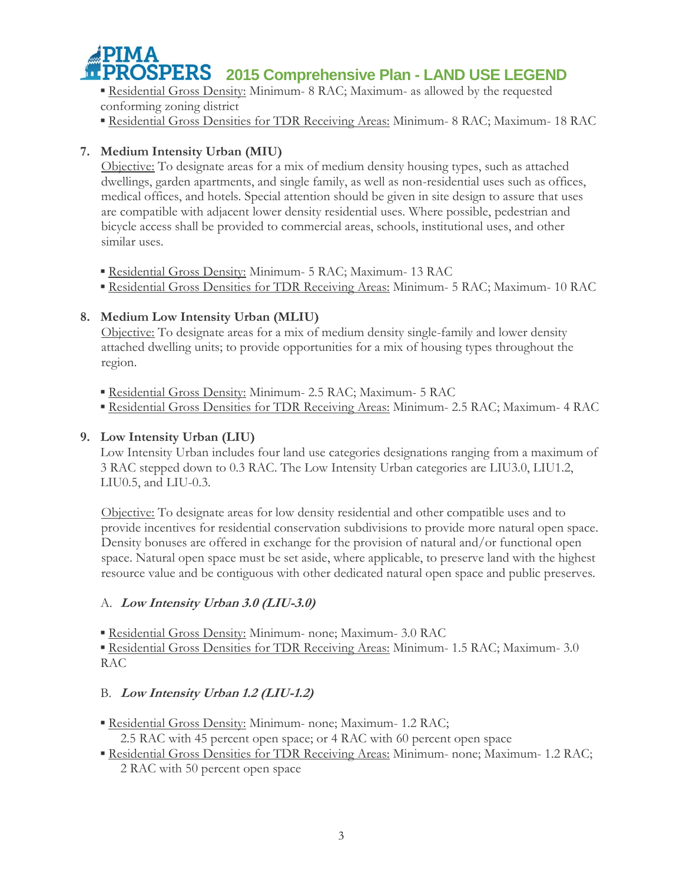## **2015 Comprehensive Plan - LAND USE LEGEND**

**Residential Gross Density: Minimum- 8 RAC; Maximum- as allowed by the requested** conforming zoning district

▪ Residential Gross Densities for TDR Receiving Areas: Minimum- 8 RAC; Maximum- 18 RAC

## **7. Medium Intensity Urban (MIU)**

Objective: To designate areas for a mix of medium density housing types, such as attached dwellings, garden apartments, and single family, as well as non-residential uses such as offices, medical offices, and hotels. Special attention should be given in site design to assure that uses are compatible with adjacent lower density residential uses. Where possible, pedestrian and bicycle access shall be provided to commercial areas, schools, institutional uses, and other similar uses.

**Residential Gross Density: Minimum- 5 RAC; Maximum- 13 RAC** 

**Residential Gross Densities for TDR Receiving Areas: Minimum- 5 RAC; Maximum- 10 RAC** 

## **8. Medium Low Intensity Urban (MLIU)**

Objective: To designate areas for a mix of medium density single-family and lower density attached dwelling units; to provide opportunities for a mix of housing types throughout the region.

- Residential Gross Density: Minimum- 2.5 RAC; Maximum- 5 RAC
- **Residential Gross Densities for TDR Receiving Areas: Minimum- 2.5 RAC; Maximum- 4 RAC**

## **9. Low Intensity Urban (LIU)**

Low Intensity Urban includes four land use categories designations ranging from a maximum of 3 RAC stepped down to 0.3 RAC. The Low Intensity Urban categories are LIU3.0, LIU1.2, LIU0.5, and LIU-0.3.

Objective: To designate areas for low density residential and other compatible uses and to provide incentives for residential conservation subdivisions to provide more natural open space. Density bonuses are offered in exchange for the provision of natural and/or functional open space. Natural open space must be set aside, where applicable, to preserve land with the highest resource value and be contiguous with other dedicated natural open space and public preserves.

## A. **Low Intensity Urban 3.0 (LIU-3.0)**

**Residential Gross Density: Minimum- none; Maximum- 3.0 RAC** 

▪ Residential Gross Densities for TDR Receiving Areas: Minimum- 1.5 RAC; Maximum- 3.0 RAC

## B. **Low Intensity Urban 1.2 (LIU-1.2)**

- **Residential Gross Density: Minimum- none; Maximum- 1.2 RAC;** 
	- 2.5 RAC with 45 percent open space; or 4 RAC with 60 percent open space
- Residential Gross Densities for TDR Receiving Areas: Minimum- none; Maximum- 1.2 RAC; 2 RAC with 50 percent open space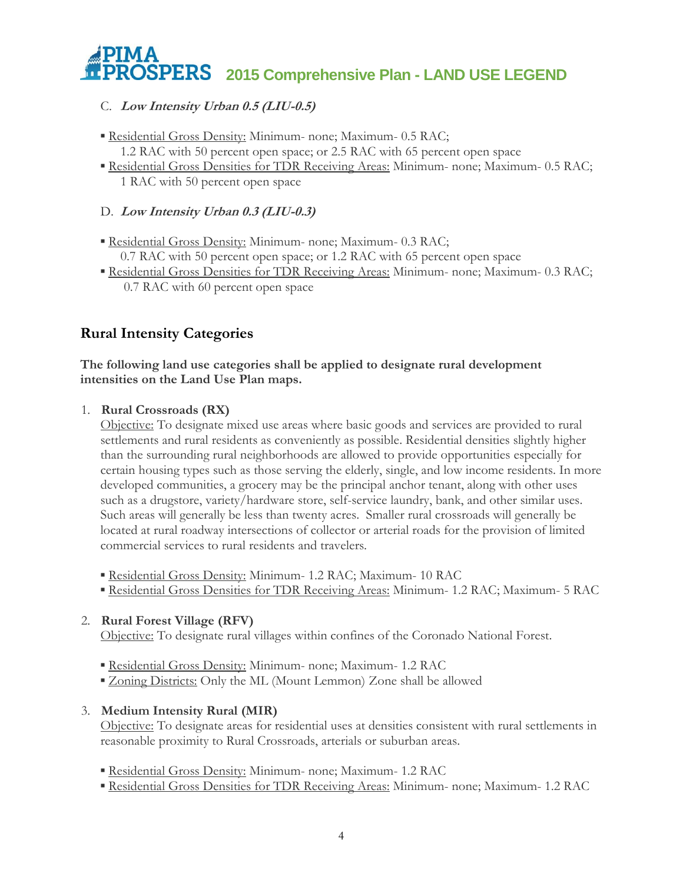# **2015 Comprehensive Plan - LAND USE LEGEND**

## C. **Low Intensity Urban 0.5 (LIU-0.5)**

- **Residential Gross Density: Minimum- none; Maximum- 0.5 RAC;** 1.2 RAC with 50 percent open space; or 2.5 RAC with 65 percent open space
- **Residential Gross Densities for TDR Receiving Areas: Minimum- none; Maximum- 0.5 RAC;** 1 RAC with 50 percent open space

## D. **Low Intensity Urban 0.3 (LIU-0.3)**

- Residential Gross Density: Minimum- none; Maximum- 0.3 RAC; 0.7 RAC with 50 percent open space; or 1.2 RAC with 65 percent open space
- Residential Gross Densities for TDR Receiving Areas: Minimum- none; Maximum- 0.3 RAC; 0.7 RAC with 60 percent open space

## **Rural Intensity Categories**

## **The following land use categories shall be applied to designate rural development intensities on the Land Use Plan maps.**

## 1. **Rural Crossroads (RX)**

Objective: To designate mixed use areas where basic goods and services are provided to rural settlements and rural residents as conveniently as possible. Residential densities slightly higher than the surrounding rural neighborhoods are allowed to provide opportunities especially for certain housing types such as those serving the elderly, single, and low income residents. In more developed communities, a grocery may be the principal anchor tenant, along with other uses such as a drugstore, variety/hardware store, self-service laundry, bank, and other similar uses. Such areas will generally be less than twenty acres. Smaller rural crossroads will generally be located at rural roadway intersections of collector or arterial roads for the provision of limited commercial services to rural residents and travelers.

- **Residential Gross Density: Minimum- 1.2 RAC; Maximum- 10 RAC**
- Residential Gross Densities for TDR Receiving Areas: Minimum- 1.2 RAC; Maximum- 5 RAC

## 2. **Rural Forest Village (RFV)**

Objective: To designate rural villages within confines of the Coronado National Forest.

- **Residential Gross Density: Minimum- none; Maximum- 1.2 RAC**
- **Zoning Districts:** Only the ML (Mount Lemmon) Zone shall be allowed

## 3. **Medium Intensity Rural (MIR)**

Objective: To designate areas for residential uses at densities consistent with rural settlements in reasonable proximity to Rural Crossroads, arterials or suburban areas.

- **Residential Gross Density: Minimum- none; Maximum- 1.2 RAC**
- **Example 1 Residential Gross Densities for TDR Receiving Areas: Minimum- none; Maximum- 1.2 RAC**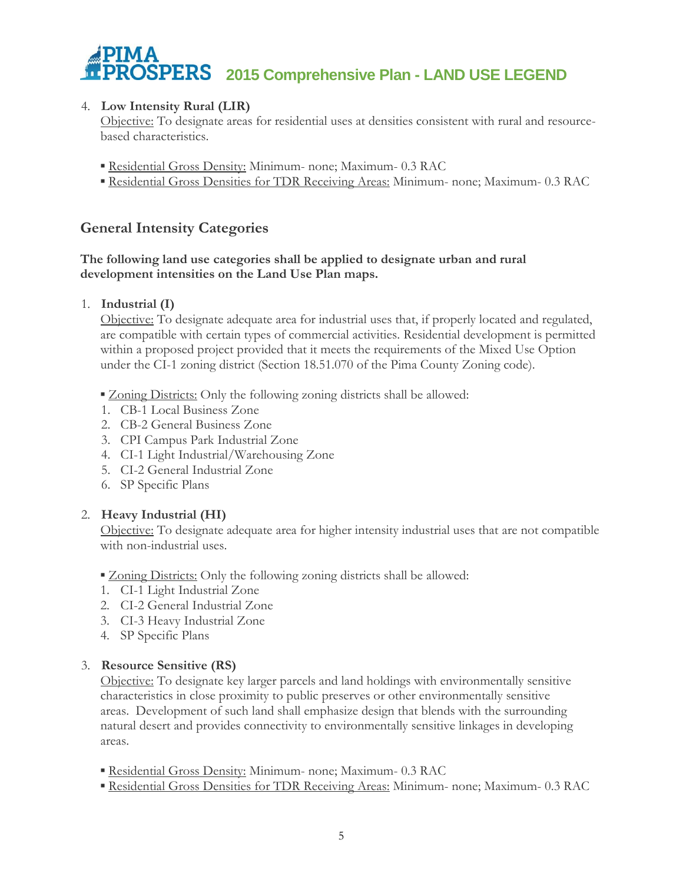

## 4. **Low Intensity Rural (LIR)**

Objective: To designate areas for residential uses at densities consistent with rural and resourcebased characteristics.

- **Residential Gross Density: Minimum- none; Maximum- 0.3 RAC**
- **Residential Gross Densities for TDR Receiving Areas: Minimum- none; Maximum- 0.3 RAC**

## **General Intensity Categories**

## **The following land use categories shall be applied to designate urban and rural development intensities on the Land Use Plan maps.**

### 1. **Industrial (I)**

Objective: To designate adequate area for industrial uses that, if properly located and regulated, are compatible with certain types of commercial activities. Residential development is permitted within a proposed project provided that it meets the requirements of the Mixed Use Option under the CI-1 zoning district (Section 18.51.070 of the Pima County Zoning code).

**Zoning Districts:** Only the following zoning districts shall be allowed:

- 1. CB-1 Local Business Zone
- 2. CB-2 General Business Zone
- 3. CPI Campus Park Industrial Zone
- 4. CI-1 Light Industrial/Warehousing Zone
- 5. CI-2 General Industrial Zone
- 6. SP Specific Plans

#### 2. **Heavy Industrial (HI)**

Objective: To designate adequate area for higher intensity industrial uses that are not compatible with non-industrial uses.

#### **Zoning Districts:** Only the following zoning districts shall be allowed:

- 1. CI-1 Light Industrial Zone
- 2. CI-2 General Industrial Zone
- 3. CI-3 Heavy Industrial Zone
- 4. SP Specific Plans

#### 3. **Resource Sensitive (RS)**

Objective: To designate key larger parcels and land holdings with environmentally sensitive characteristics in close proximity to public preserves or other environmentally sensitive areas. Development of such land shall emphasize design that blends with the surrounding natural desert and provides connectivity to environmentally sensitive linkages in developing areas.

- **Residential Gross Density: Minimum- none; Maximum- 0.3 RAC**
- **Example 1 Residential Gross Densities for TDR Receiving Areas: Minimum- none; Maximum- 0.3 RAC**